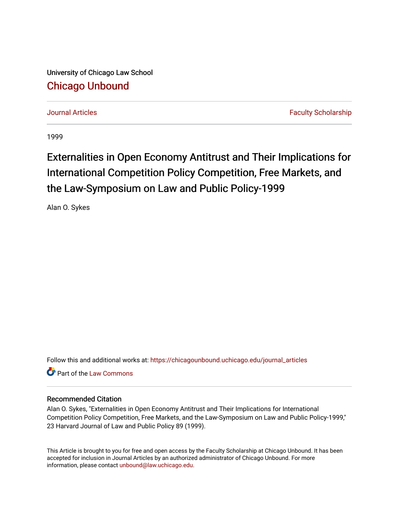University of Chicago Law School [Chicago Unbound](https://chicagounbound.uchicago.edu/)

[Journal Articles](https://chicagounbound.uchicago.edu/journal_articles) [Faculty Scholarship](https://chicagounbound.uchicago.edu/faculty_scholarship) Faculty Scholarship

1999

# Externalities in Open Economy Antitrust and Their Implications for International Competition Policy Competition, Free Markets, and the Law-Symposium on Law and Public Policy-1999

Alan O. Sykes

Follow this and additional works at: [https://chicagounbound.uchicago.edu/journal\\_articles](https://chicagounbound.uchicago.edu/journal_articles?utm_source=chicagounbound.uchicago.edu%2Fjournal_articles%2F9760&utm_medium=PDF&utm_campaign=PDFCoverPages) 

**C** Part of the [Law Commons](http://network.bepress.com/hgg/discipline/578?utm_source=chicagounbound.uchicago.edu%2Fjournal_articles%2F9760&utm_medium=PDF&utm_campaign=PDFCoverPages)

## Recommended Citation

Alan O. Sykes, "Externalities in Open Economy Antitrust and Their Implications for International Competition Policy Competition, Free Markets, and the Law-Symposium on Law and Public Policy-1999," 23 Harvard Journal of Law and Public Policy 89 (1999).

This Article is brought to you for free and open access by the Faculty Scholarship at Chicago Unbound. It has been accepted for inclusion in Journal Articles by an authorized administrator of Chicago Unbound. For more information, please contact [unbound@law.uchicago.edu](mailto:unbound@law.uchicago.edu).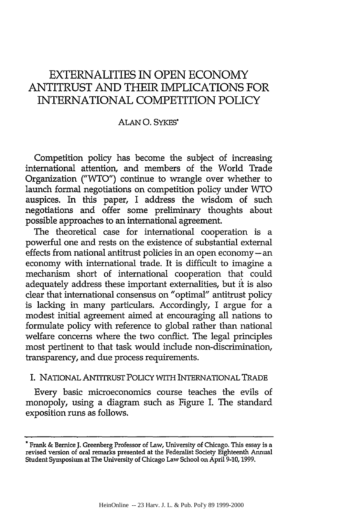# EXTERNALITIES **IN OPEN ECONOMY** ANTITRUST AND THEIR IMPLICATIONS FOR INTERNATIONAL COMPETITION POLICY

#### ALAN **0.** SYKES\*

Competition policy has become the subject of increasing international attention, and members of the World Trade Organization ("WTO") continue to wrangle over whether to launch formal negotiations on competition policy under WTO auspices. In this paper, I address the wisdom of such negotiations and offer some preliminary thoughts about possible approaches to an international agreement.

The theoretical case for international cooperation is a powerful one and rests on the existence of substantial external effects from national antitrust policies in an open economy-an economy with international trade. It is difficult to imagine a mechanism short of international cooperation that could adequately address these important externalities, but it is also clear that international consensus on "optimal" antitrust policy is lacking in many particulars. Accordingly, I argue for a modest initial agreement aimed at encouraging all nations to formulate policy with reference to global rather than national welfare concerns where the two conflict. The legal principles most pertinent to that task would include non-discrimination, transparency, and due process requirements.

### I. NATIONAL ANTITRUST PoLIcY WITH INTERNATIONAL TRADE

Every basic microeconomics course teaches the evils of monopoly, using a diagram such as Figure I. The standard exposition runs as follows.

**<sup>\*</sup>** Frank & Bernice **J.** Greenberg Professor of Law, University of Chicago. This essay is a revised version of oral remarks presented at the Federalist Society Eighteenth Annual Student Symposium at The University of Chicago Law School on April 9-10,1999.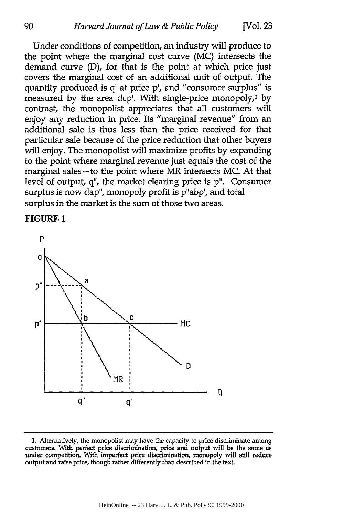Under conditions of competition, an industry will produce to the point where the marginal cost curve (MC) intersects the demand curve (D), for that is the point at which price just covers the marginal cost of an additional unit of output. The quantity produced is q' at price **p',** and "consumer surplus" is measured by the area dcp'. With single-price monopoly,<sup>1</sup> by contrast, the monopolist appreciates that all customers will enjoy any reduction in price. Its "marginal revenue" from an additional sale is thus less than the price received for that particular sale because of the price reduction that other buyers will enjoy. The monopolist will maximize profits by expanding to the point where marginal revenue just equals the cost of the marginal sales-to the point where MR intersects MC. At that level of output, q", the market clearing price is **p".** Consumer surplus is now dap", monopoly profit is p"abp', and total surplus in the market is the sum of those two areas.

#### FIGURE **1**



**<sup>1.</sup>** Alternatively, the monopolist may have the capacity to price discriminate among customers. With perfect price discrimination, price and output will be the same as under competition. With imperfect price discrimination, monopoly will still reduce output and raise price, though rather differently than described in the text.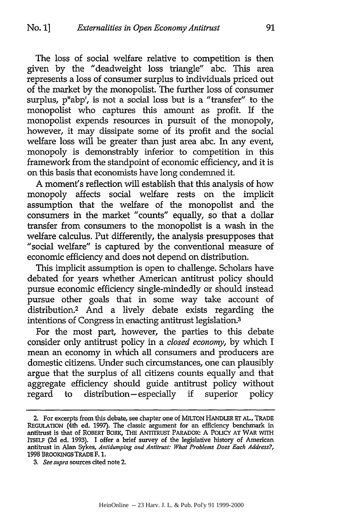The loss of social welfare relative to competition is then given by the "deadweight loss triangle" abc. This area represents a loss of consumer surplus to individuals priced out of the market by the monopolist. The further loss of consumer surplus, p"abp', is not a social loss but is a "transfer" to the monopolist who captures this amount as profit. If the monopolist expends resources in pursuit of the monopoly, however, it may dissipate some of its profit and the social welfare loss will be greater than just area abc. In any event, monopoly is demonstrably inferior to competition in this framework from the standpoint of economic efficiency, and it is on this basis that economists have long condemned it.

A moment's reflection will establish that this analysis of how monopoly affects social welfare rests on the implicit assumption that the welfare of the monopolist and the consumers in the market "counts" equally, so that a dollar transfer from consumers to the monopolist is a wash in the welfare calculus. Put differently, the analysis presupposes that "social welfare" is captured by the conventional measure of economic efficiency and does not depend on distribution.

This implicit assumption is open to challenge. Scholars have debated for years whether American antitrust policy should pursue economic efficiency single-mindedly or should instead pursue other goals that in some way take account of distribution.2 And a lively debate exists regarding the intentions of Congress in enacting antitrust legislation.<sup>3</sup>

For the most part, however, the parties to this debate consider only antitrust policy in a *closed economy,* by which I mean an economy in which all consumers and producers are domestic citizens. Under such circumstances, one can plausibly argue that the surplus of all citizens counts equally and that aggregate efficiency should guide antitrust policy without regard to distribution-especially if superior policy

<sup>2.</sup> For excerpts from this debate, see chapter one of MILTON HANDLER ET AL., TRADE **REGULATION** (4th ed. 1997). The classic argument for an efficiency benchmark in antitrust is that of ROBERT BORK, THE ANTITRUST PARADOX: A PoLcY **AT** WAR **WITH** ITSELF (2d ed. 1993). I offer a brief survey of the legislative history of American antitrust in Alan Sykes, *Antidumping and Antitrust: What Problems Does Each Address?,* **1998** BROOKINGS TRADE F. **1.**

*<sup>3.</sup> See supra* sources cited note 2.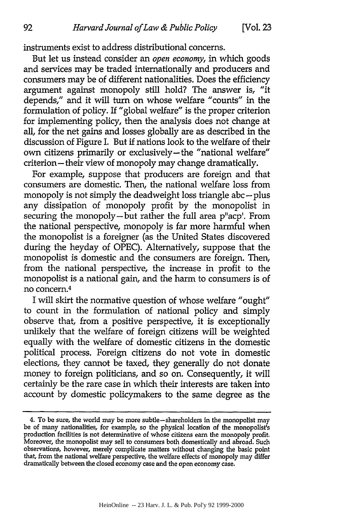instruments exist to address distributional concerns.

But let us instead consider an *open economy,* in which goods and services may be traded internationally and producers and consumers may be of different nationalities. Does the efficiency argument against monopoly still hold? The answer is, "it depends," and it will turn on whose welfare "counts" in the formulation of policy. If "global welfare" is the proper criterion for implementing policy, then the analysis does not change at all, for the net gains and losses globally are as described in the discussion of Figure I. But if nations look to the welfare of their own citizens primarily or exclusively-the "national welfare" criterion-their view of monopoly may change dramatically.

For example, suppose that producers are foreign and that consumers are domestic. Then, the national welfare loss from monopoly is not simply the deadweight loss triangle abc-plus any dissipation of monopoly profit by the monopolist in securing the monopoly-but rather the full area p"acp'. From the national perspective, monopoly is far more harmful when the monopolist is a foreigner (as the United States discovered during the heyday of OPEC). Alternatively, suppose that the monopolist is domestic and the consumers are foreign. Then, from the national perspective, the increase in profit to the monopolist is a national gain, and the harm to consumers is of no concern.<sup>4</sup>

I will skirt the normative question of whose welfare "ought" to count in the formulation of national policy and simply observe that, from a positive perspective, it is exceptionally unlikely that the welfare of foreign citizens will be weighted equally with the welfare of domestic citizens in the domestic political process. Foreign citizens do not vote in domestic elections, they cannot be taxed, they generally do not donate money to foreign politicians, and so on. Consequently, it will certainly be the rare case in which their interests are taken into account by domestic policymakers to the same degree as the

<sup>4.</sup> To be sure, the world may be more subtle-shareholders in the monopolist may be of many nationalities, for example, so the physical location of the monopolist's production facilities is not determinative of whose citizens earn the monopoly profit. Moreover, the monopolist may sell to consumers both domestically and abroad. Such observations, however, merely complicate matters without changing the basic point that, from the national welfare perspective, the welfare effects of monopoly may differ dramatically between the closed economy case and the open economy case.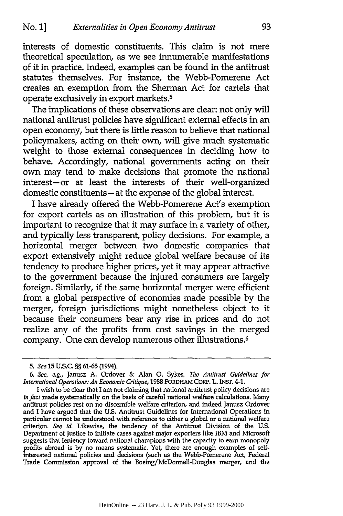interests of domestic constituents. This claim is not mere theoretical speculation, as we see innumerable manifestations of it in practice. Indeed, examples can be found in the antitrust statutes themselves. For instance, the Webb-Pomerene Act creates an exemption from the Sherman Act for cartels that operate exclusively in export markets.5

The implications of these observations are dear: not only **will** national antitrust policies have significant external effects in an open economy, but there is little reason to believe that national policymakers, acting on their own, will give much systematic weight to those external consequences in deciding how to behave. Accordingly, national governments acting on their own may tend to make decisions that promote the national interest-or at least the interests of their well-organized domestic constituents - at the expense of the global interest.

I have already offered the Webb-Pomerene Act's exemption for export cartels as an illustration of this problem, but it is important to recognize that it may surface in a variety of other, and typically less transparent, policy decisions. For example, a horizontal merger between two domestic companies that export extensively might reduce global welfare because of its tendency to produce higher prices, yet it may appear attractive to the government because the injured consumers are largely foreign. Similarly, **if** the same horizontal merger were efficient from a global perspective of economies made possible **by** the merger, foreign jurisdictions might nonetheless object to it because their consumers bear any rise in prices and do not realize any of the profits from cost savings in the merged company. One can develop numerous other illustrations. <sup>6</sup>

*<sup>5.</sup> See* **15 U.S.C. §§ 61-65** (1994).

*<sup>6.</sup> See, e.g.,* Janusz **A.** Ordover **&** Alan **0.** Sykes, *The Antitrust Guidelines for International Operations: An Economic Critique,* **1988 FORDHAM CORP. L. INST. 4-1.**

I wish to be dear that I am not claiming that national antitrust policy decisions are *in fact* made systematically on the basis of careful national welfare calculations. Many antitrust policies rest on no discernible welfare criterion, and indeed Janusz Ordover and I have argued that the **U.S.** Antitrust Guidelines for International Operations in particular cannot be understood with reference to either a global or a national welfare criterion. *See id.* Likewise, the tendency of the Antitrust Division of the **U.S.** Department of Justice to initiate cases against major exporters like IBM and Microsoft suggests that leniency toward national champions with the capacity to earn monopoly profits abroad is **by** no means systematic. Yet, there are enough examples of selfinterested national policies and decisions (such as the Webb-Pomerene Act, Federal Trade Commission approval of the Boeing/McDonnell-Douglas merger, and the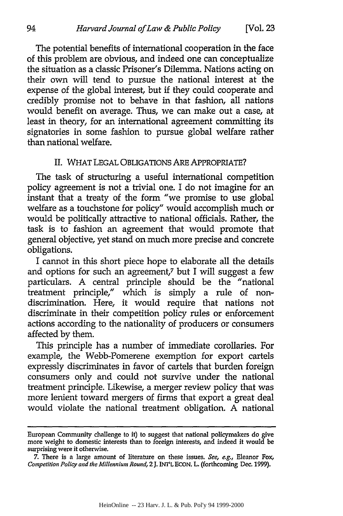The potential benefits of international cooperation in the face of this problem are obvious, and indeed one can conceptualize the situation as a classic Prisoner's Dilemma. Nations acting on their own will tend to pursue the national interest at the expense of the global interest, but **if** they could cooperate and credibly promise not to behave in that fashion, all nations would benefit on average. Thus, we can make out a case, at least in theory, for an international agreement committing its signatories in some fashion to pursue global welfare rather than national welfare.

#### II. WHAT LEGAL OBLIGATIONS ARE APPROPRIATE?

The task of structuring a useful international competition policy agreement is not a trivial one. I do not imagine for an instant that a treaty of the form "we promise to use global welfare as a touchstone for policy" would accomplish much or would be politically attractive to national officials. Rather, the task is to fashion an agreement that would promote that general objective, yet stand on much more precise and concrete obligations.

I cannot in this short piece hope to elaborate all the details and options for such an agreement,7 but I will suggest a few particulars. A central principle should be the "national treatment principle," which is simply a rule of nondiscrimination. Here, it would require that nations not discriminate in their competition policy rules or enforcement actions according to the nationality of producers or consumers affected by them.

This principle has a number of immediate corollaries. For example, the Webb-Pomerene exemption for export cartels expressly discriminates in favor of cartels that burden foreign consumers only and could not survive under the national treatment principle. Likewise, a merger review policy that was more lenient toward mergers of firms that export a great deal would violate the national treatment obligation. A national

European Community challenge to it) to suggest that national policymakers do give more weight to domestic interests than to foreign interests, and indeed it would be surprising were it otherwise.

**<sup>7.</sup>** There is a large amount of literature on these issues. *See, e.g.,* Eleanor Fox, *Competition Policy and the Millennium Round,* 2 **J. INT'L ECON.** L. (forthcoming Dec. **1999).**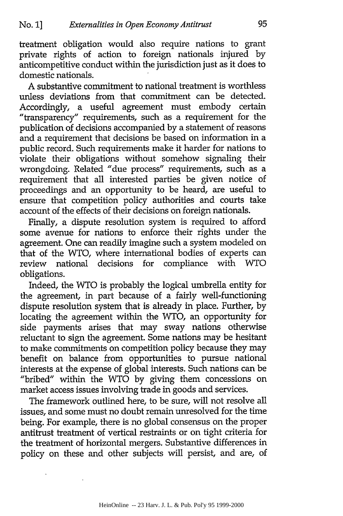treatment obligation would also require nations to grant private rights of action to foreign nationals injured by anticompetitive conduct within the jurisdiction just as it does to domestic nationals.

A substantive commitment to national treatment is worthless unless deviations from that commitment can be detected. Accordingly, a useful agreement must embody certain "transparency" requirements, such as a requirement for the publication of decisions accompanied by a statement of reasons and a requirement that decisions be based on information in a public record. Such requirements make it harder for nations to violate their obligations without somehow signaling their wrongdoing. Related "due process" requirements, such as a requirement that all interested parties be given notice of proceedings and an opportunity to be heard, are useful to ensure that competition policy authorities and courts take account of the effects of their decisions on foreign nationals.

Finally, a dispute resolution system is required to afford some avenue for nations to enforce their rights under the agreement. One can readily imagine such a system modeled on that of the WTO, where international bodies of experts can review national decisions for compliance with WTO obligations.

Indeed, the WTO is probably the logical umbrella entity for the agreement, in part because of a fairly well-functioning dispute resolution system that is already in place. Further, by locating the agreement within the WTO, an opportunity for side payments arises that may sway nations otherwise reluctant to sign the agreement. Some nations may be hesitant to make commitments on competition policy because they may benefit on balance from opportunities to pursue national interests at the expense of global interests. Such nations can be "bribed" within the WTO by giving them concessions on market access issues involving trade in goods and services.

The framework outlined here, to be sure, will not resolve all issues, and some must no doubt remain unresolved for the time being. For example, there is no global consensus on the proper antitrust treatment of vertical restraints or on tight criteria for the treatment of horizontal mergers. Substantive differences in policy on these and other subjects will persist, and are, of